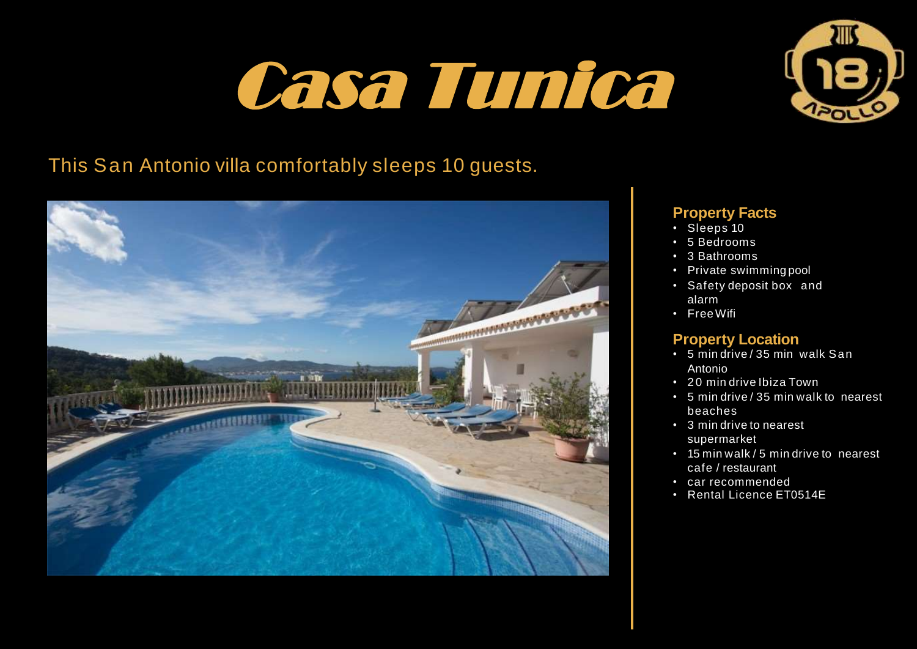# Casa Tunica



# This San Antonio villa comfortably sleeps 10 guests.



## **Property Facts**

- Sleeps 10
- 5 Bedrooms
- 3 Bathrooms
- Private swimming pool
- Safety deposit box and alarm
- FreeWifi

## **Property Location**

- 5 min drive / 35 min walk San Antonio
- 20 min drive Ibiza Town
- 5 min drive / 35 min walk to nearest beaches
- 3 min drive to nearest supermarket
- 15 min walk / 5 min drive to nearest cafe / restaurant
- car recommended
- Rental Licence ET0514E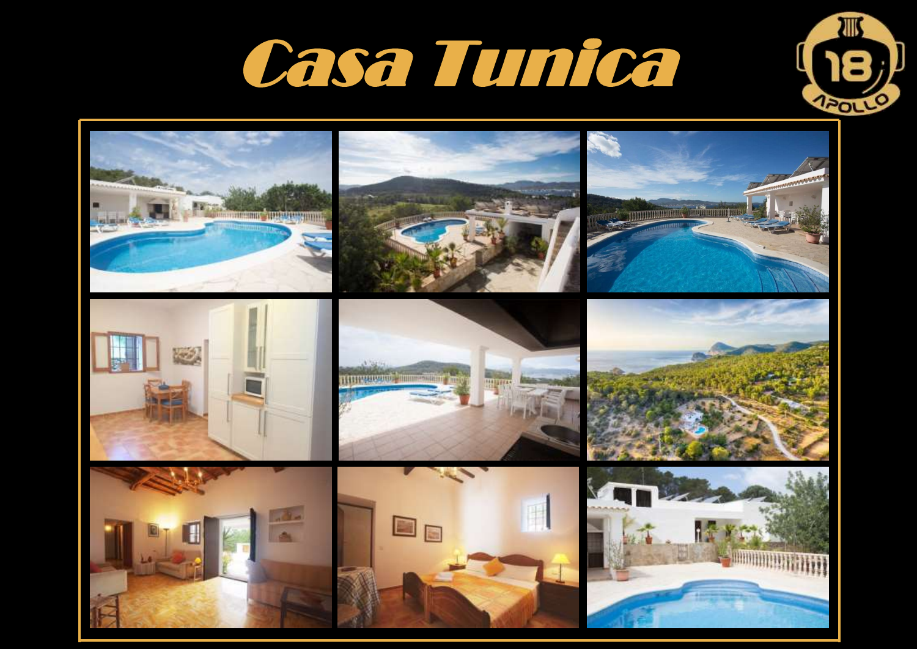



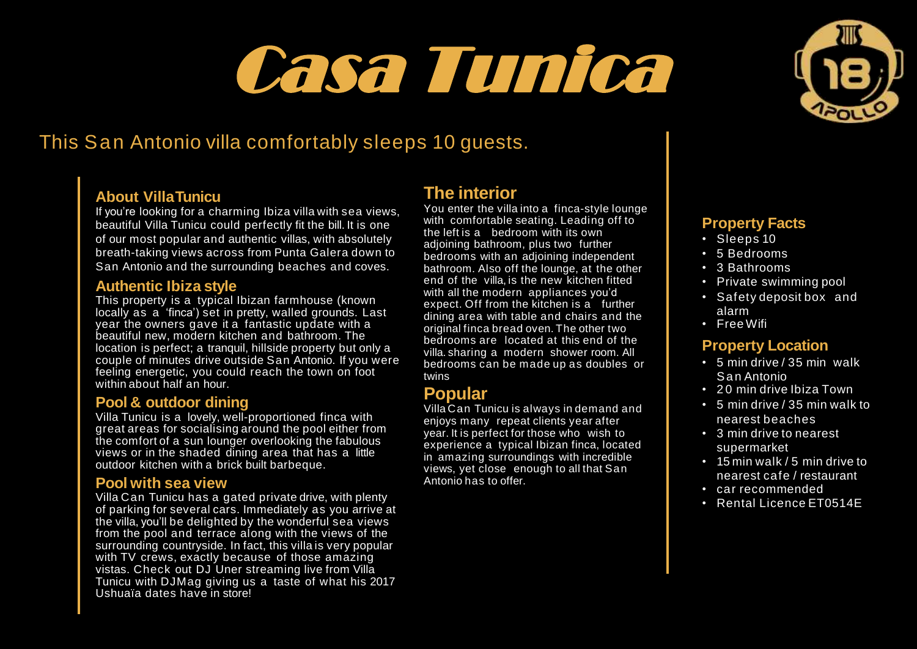# Casa Tunica



# This San Antonio villa comfortably sleeps 10 guests.

### **About VillaTunicu**

If you're looking for a charming Ibiza villa with sea views, beautiful Villa Tunicu could perfectly fit the bill. It is one of our most popular and authentic villas, with absolutely breath-taking views across from Punta Galera down to San Antonio and the surrounding beaches and coves.

#### **Authentic Ibiza style**

This property is a typical Ibizan farmhouse (known locally as a 'finca') set in pretty, walled grounds. Last year the owners gave it a fantastic update with a beautiful new, modern kitchen and bathroom. The location is perfect; a tranquil, hillside property but only a couple of minutes drive outside San Antonio. If you were feeling energetic, you could reach the town on foot within about half an hour.

#### **Pool & outdoor dining**

Villa Tunicu is a lovely, well-proportioned finca with great areas for socialising around the pool either from the comfort of a sun lounger overlooking the fabulous views or in the shaded dining area that has a little outdoor kitchen with a brick built barbeque.

#### **Pool with sea view**

Villa Can Tunicu has a gated private drive, with plenty of parking for several cars. Immediately as you arrive at the villa, you'll be delighted by the wonderful sea views from the pool and terrace along with the views of the surrounding countryside. In fact, this villa is very popular with TV crews, exactly because of those amazing vistas. Check out DJ Uner streaming live from Villa Tunicu with DJMag giving us a taste of what his 2017 Ushuaïa dates have in store!

# **The interior**

You enter the villa into a finca-style lounge with comfortable seating. Leading off to the left is a bedroom with its own adjoining bathroom, plus two further bedrooms with an adjoining independent bathroom. Also off the lounge, at the other end of the villa, is the new kitchen fitted with all the modern appliances you'd expect. Off from the kitchen is a further dining area with table and chairs and the original finca bread oven. The other two bedrooms are located at this end of the villa. sharing a modern shower room. All bedrooms can be made up as doubles or twins

## **Popular**

Villa Can Tunicu is always in demand and enjoys many repeat clients year after year. It is perfect for those who wish to experience a typical Ibizan finca, located in amazing surroundings with incredible views, yet close enough to all that San Antonio has to offer.

### **Property Facts**

- Sleeps 10
- 5 Bedrooms
- 3 Bathrooms
- Private swimming pool
- Safety deposit box and alarm
- Free Wifi

#### **Property Location**

- 5 min drive / 35 min walk Sa n Antonio
- 20 min drive Ibiza Town
- 5 min drive / 35 min walk to nearest beaches
- 3 min drive to nearest supermarket
- 15 min walk / 5 min drive to nearest cafe / restaurant
- car recommended
- Rental Licence ET0514E